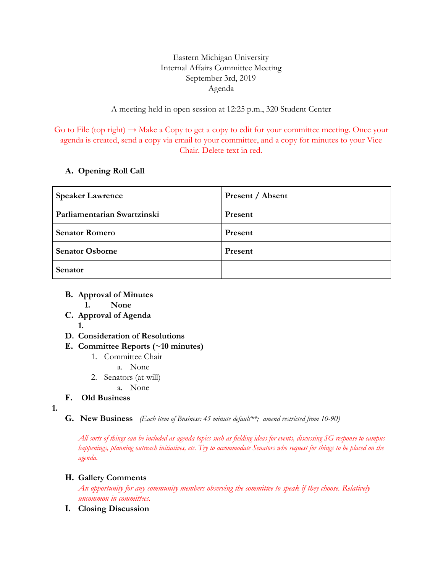## Eastern Michigan University Internal Affairs Committee Meeting September 3rd, 2019 Agenda

## A meeting held in open session at 12:25 p.m., 320 Student Center

Go to File (top right)  $\rightarrow$  Make a Copy to get a copy to edit for your committee meeting. Once your agenda is created, send a copy via email to your committee, and a copy for minutes to your Vice Chair. Delete text in red.

## **A. Opening Roll Call**

| <b>Speaker Lawrence</b>     | Present / Absent |
|-----------------------------|------------------|
| Parliamentarian Swartzinski | Present          |
| <b>Senator Romero</b>       | Present          |
| <b>Senator Osborne</b>      | Present          |
| Senator                     |                  |

- **B. Approval of Minutes**
	- **1. None**
- **C. Approval of Agenda 1.**
- **D. Consideration of Resolutions**
- **E. Committee Reports (~10 minutes)**
	- 1. Committee Chair
		- a. None
	- 2. Senators (at-will)
		- a. None
- **F. Old Business**
- **1.**
- **G. New Business** *(Each item of Business: 45 minute default\*\*; amend restricted from 10-90)*

All sorts of things can be included as agenda topics such as fielding ideas for events, discussing SG response to campus happenings, planning outreach initiatives, etc. Try to accommodate Senators who request for things to be placed on the *agenda.*

## **H. Gallery Comments**

*An opportunity for any community members observing the committee to speak if they choose. Relatively uncommon in committees.*

**I. Closing Discussion**